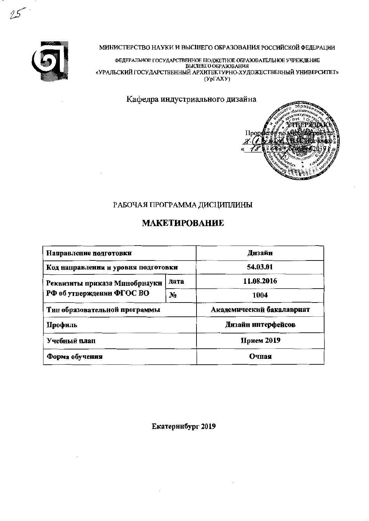

МИНИСТЕРСТВО НАУКИ И ВЫСШЕГО ОБРАЗОВАНИЯ РОССИЙСКОЙ ФЕДЕРАЦИИ

ФЕДЕРАЛЬНОЕ ГОСУДАРСТВЕННОЕ БЮДЖЕТНОЕ ОБРАЗОВАТЕЛЬНОЕ УЧРЕЖДЕНИЕ «УРАЛЬСКИЙ ГОСУДАРСТВЕННЫЙ АРХИТЕКТУРНО-ХУДОЖЕСТВЕННЫЙ УНИВЕРСИТЕТ»  $(Yp\Gamma A X Y)$ 

Кафедра индустриального дизайна



# РАБОЧАЯ ПРОГРАММА ДИСЦИПЛИНЫ

# **МАКЕТИРОВАНИЕ**

| Направление подготовки              | Днзайн                    |                    |  |
|-------------------------------------|---------------------------|--------------------|--|
| Код направления и уровня подготовки | 54.03.01                  |                    |  |
| Реквизиты приказа Минобрнауки       | лата                      | 11.08.2016         |  |
| РФ об утверждении ФГОС ВО           | N <sub>2</sub>            | 1004               |  |
| Тип образовательной программы       | Академический бакалавриат |                    |  |
| Профиль                             |                           | Дизайн интерфейсов |  |
| Учебный план                        | Прием 2019                |                    |  |
| Форма обучения                      | Очная                     |                    |  |

Екатеринбург 2019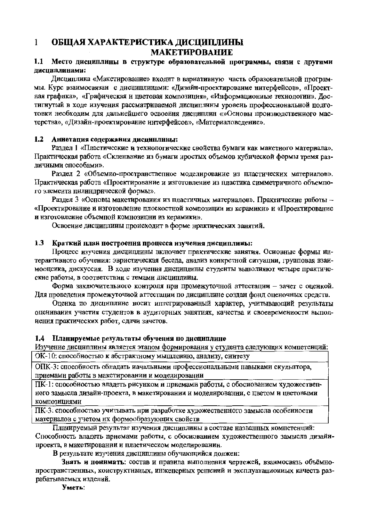#### $\mathbf{1}$ ОБЩАЯ ХАРАКТЕРИСТИКА ДИСЦИПЛИНЫ **МАКЕТИРОВАНИЕ**

### 1.1 Место дисциплины в структуре образовательной программы, связи с другими лисциплинами:

Дисциплина «Макетирование» входит в вариативную часть образовательной программы. Курс взаимосвязан с дисциплинами: «Дизайн-проектирование интерфейсов», «Проектная графика», «Графическая и цветовая композиция», «Информациониые технологии». Достигнутый в ходе изучения рассматриваемой дисциплины уровень профессиональной подготовки необходим для дальнейшего освоения дисциплин «»Основы производственного мастерства», «Дизайн-проектирование интерфейсов», «Материаловедение».

#### $1.2$ Аниотация содержания дисциплины:

Раздел 1 «Пластические и технологические свойства бумаги как макетиого материала». Практическая работа «Скленвание из бумаги нростых объемов кубической формы тремя различными способами».

Раздел 2 «Объемио-пространственное моделирование из пластических материалов». Практическая работа «Проектирование и изготовление из пластика симметричного объемпого элемента цилиндрической формы».

Раздел 3 «Основы макетирования из пластичных материалов». Практические работы -«Проектирование и изготовление плоскостной композиции из керамики» и «Проектирование и изготовление объемпой комнозицни из керамики».

Освоение дисциплины происходит в форме нрактических занятий.

#### Краткий план построения процесса изучения дисциплины:  $1.3$

Процесс изучения дисциплины включает практические занятия. Осиовные формы интерактивного обучения: эвристическая беседа, анализ конкретной ситуации, групповая взаимооценка, дискуссия. В ходе изучения дисциплины студенты выполияют четыре практические работы, в соответствии с темами дисциплииы.

Форма заключительного контроля при промежуточной аттестации - зачет с оценкой. Для проведения промежуточной аттестации по дисциплине создан фонд оценочных средств.

Оценка по дисциплине носит иптегрированный характер, учитывающий результаты оценивания участия студентов в аудиторных занятиях, качества и своевременности выполиения практических работ, сдачи зачетов.

#### 1.4 Планируемые результаты обучения по дисциплине

Изучение дисциплины является этапом формирования у студента следующих компетенций: ОК-10: способностью к абстрактному мышлению, анализу, синтезу

ОПК-3: способность обладать иачальными профессиональными навыками скульптора, приемами работы в макетировании и моделировании

ПК-1: способиостью владеть рисунком и прнемами работы, с обосиованием художествепиого замысла дизайн-проекта, в макетировании и моделировании, с цветом и цветовыми композициями

ПК-3: способностью учитывать нри разработке художественного замысла особенности материалов с учетом их формообразующих свойств

Планируемый результат нзучения дисциплины в составе названных компетенций: Способность владеть приемами работы, с обоснованием художественного замысла дизайнпроекта, в макетировании и пластическом моделировании.

В результате изучения дисциплины обучающийся должен:

Знать и понимать: состав и правила выполнения чертежей, взаимосвязь объёмнонространственных, коиструктивных, инженерных решений и эксплуатационных качеств разрабатываемых изделий.

Уметь: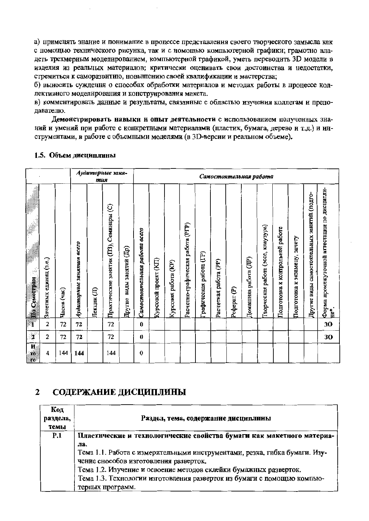а) применять знание и понимание в процессе представления своего творческого замысла как с помощью технического рисунка, так и с номощью компьютерной графики; грамотно владеть трехмерным моделированием, компьютерной графикой, уметь переводить 3D модели в изделия из реальных материалов; критически оценивать свои достоинства и недостатки, стремиться к саморазвитию, новышению своей квалификации и мастерства;

б) выносить суждення о способах обработки материалов и методах работы в процессе коллективного моделнрования и конструирования макета.

в) комментировать данные и результаты, связанные с областью изучения коллегам и преподавателю.

Демонстрировать навыки и опыт деятельности с использованием полученных знаний и умений при работе с конкретными материалами (пластик, бумага, дерево и т.д.) и инструментами, в работе с объемными моделями (в 3D-версии и реальном объеме).

#### Аудиторные заня-Самостоятельная работа mus Гругие виды самостоятельных занятий (подго-Практические занятия (ПЗ), Семинары (С) асчетно-графическая работа (PГР) ворческая работа (эссе, клаузура) Годготовка к контрольной работе Самостоятельная работа всего **Годготовка к экзамену, зачету** Аудиторные занятия всего **Другие виды занятий (Др)** рафическая работа (ГР) **Домашняя** работа (ДР) (Урсовой проект (KII) Зачетных единиц (л.е.) Расчетная работа (PP) Курсовая работа (KP) edepar (P) Часов (час) Пекции (JI)  $\overline{2}$ 72 72 72  $\bf{0}$  $72$ 72  $\overline{2}$ 72  $\bf{0}$  $\overline{\mathbf{4}}$ 144 144 144  $\bf{0}$

Форма промежуточной аттестации по дисципли-

្ទុំ

30

30

#### 1.5. Объем дисциплины

 $\equiv$   $\mathbf{H}\mathbf{o}$  Cemecrpan

 $\overline{2}$ 

 $\overline{\mathbf{M}}$ 

T0 m

#### СОДЕРЖАНИЕ ДИСЦИПЛИНЫ  $\overline{2}$

| Код<br>раздела,<br>темы | Раздел, тема, содержание дисциплины                                        |
|-------------------------|----------------------------------------------------------------------------|
| <b>P.1</b>              | Пластические и технологические свойства бумаги как макетного материа-      |
|                         | ла.                                                                        |
|                         | Тема 1.1. Работа с измерительными инструментами, резка, гибка бумаги. Изу- |
|                         | чение снособов изготовления разверток.                                     |
|                         | Тема 1.2. Изучение и освоение методов склейки бумажных разверток.          |
|                         | Тема 1.3. Технологии изготовления разверток из бумаги с помощью компью-    |
|                         | терных программ.                                                           |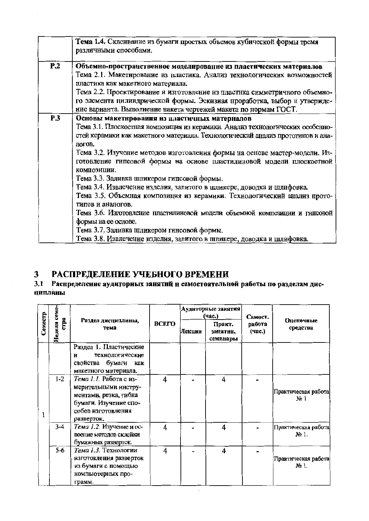|     | Тема 1.4. Склеивание из бумаги простых объемов кубической формы тремя<br>различными способами.                                                                                                                                                                                                                                                                                                                                                                                                                                                                                                                                                                                                                                                                                                                                                        |
|-----|-------------------------------------------------------------------------------------------------------------------------------------------------------------------------------------------------------------------------------------------------------------------------------------------------------------------------------------------------------------------------------------------------------------------------------------------------------------------------------------------------------------------------------------------------------------------------------------------------------------------------------------------------------------------------------------------------------------------------------------------------------------------------------------------------------------------------------------------------------|
| P.2 | Объемно-пространственное моделирование из пластических материалов<br>Тема 2.1. Макетирование из пластика. Анализ технологических возможностей<br>пластика как макетного материала.<br>Тема 2.2. Проектирование и изготовление из пластнка симметричного объемно-<br>го элемента цилиндрической формы. Эскизиая проработка, выбор и утвержде-<br>иие варианта. Выполнение накета чертежей макета по нормам ГОСТ.                                                                                                                                                                                                                                                                                                                                                                                                                                       |
| P.3 | Основы макетнрования из пластичных матерналов<br>Тема 3.1. Плоскостная композиция из керамики. Анализ технологических особенно-<br>стей керамики как макетного материала. Технологический анализ прототипов и ана-<br>логов.<br>Тема 3.2. Изучепие методов изготовления формы на основе мастер-модели. Из-<br>готовление гипсовой формы на осиове пластилиновой модели плоскостной<br>композиции.<br>Тема 3.3. Заливка шликером гипсовой формы.<br>Тема 3.4. Извлечение изделия, залитого в шликере, доводка и шлифовка.<br>Тема 3.5. Объемная композиция из керамики. Технологический анализ прото-<br>типов и аналогов.<br>Тема 3.6. Изготовление пластилиновой модели объемной композиции и гипсовой<br>формы на ее основе.<br>Тема 3.7. Заливка шликером гинсовой формы.<br>Тема 3.8. Извлечение изделия, залитого в шликере, доводка и шлифовка. |

#### РАСПРЕДЕЛЕНИЕ УЧЕБНОГО ВРЕМЕНИ  $\mathbf{3}$

# 3.1 Распределение аудиторных занятий и самостоятельной работы по разделам дис-**ЦИПЛЯНЫ**

|         | ceme-          | Раздел дисциплины,<br>тема                                                                                                           | <b>BCETO</b>            |        | Аудиторные занятия<br>(4ac.)   | Самост.<br>работа<br>(час.) |                                |
|---------|----------------|--------------------------------------------------------------------------------------------------------------------------------------|-------------------------|--------|--------------------------------|-----------------------------|--------------------------------|
| Семестр | ETTE<br>Неделя |                                                                                                                                      |                         | Лекции | Практ.<br>занятия,<br>семинары |                             | Оценочные<br>средства          |
|         |                | Раздел 1. Пластические<br>технологические<br>и<br>свойства бумаги<br>как<br>макетного материала.                                     |                         |        |                                |                             |                                |
| I       | $1 - 2$        | Тема 1.1. Работа с из-<br>мерительными инстру-<br>ментами, резка, гибка<br>бумаги. Изучение спо-<br>собов изготовления<br>разверток. | 4                       |        | 4                              |                             | Практическая работа<br>$N_2$ 1 |
|         | $3 - 4$        | Тема 1.2. Изучение и ос-<br>воение методов склейки<br>бумажных разверток.                                                            | $\overline{\mathbf{4}}$ |        | 4                              |                             | Практическая работа<br>No 1.   |
|         | $5 - 6$        | Тема 1.3. Технологии<br>изготовления разверток<br>из бумаги с помощью<br>компьютерных про-<br>грамм.                                 | 4                       |        | 4                              |                             | Практическая работа<br>No 1.   |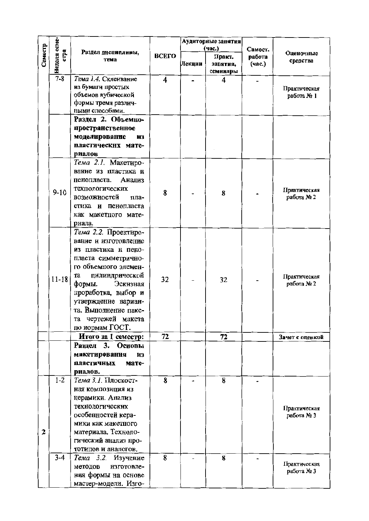|         |              |                               |       | Аудиторные занятия |                    |                  |                            |
|---------|--------------|-------------------------------|-------|--------------------|--------------------|------------------|----------------------------|
|         | crpa         | Раздел дисциплины,            |       |                    | (час.)             | Самост.          | Оценочные                  |
| Семестр | Неделя семе- | тема                          | ВСЕГО | Лекции             | Практ.<br>занятия, | работа<br>(час.) | средства                   |
|         |              |                               |       |                    | семинары           |                  |                            |
|         | $7 - 8$      | Тема 1.4. Склеивание          | 4     |                    | 4                  |                  |                            |
|         |              | из бумаги простых             |       |                    |                    |                  | Практическая               |
|         |              | объемов кубической            |       |                    |                    |                  | работа № 1                 |
|         |              | формы тремя различ-           |       |                    |                    |                  |                            |
|         |              | ными способами.               |       |                    |                    |                  |                            |
|         |              | Раздел 2. Объемно-            |       |                    |                    |                  |                            |
|         |              | пространственное              |       |                    |                    |                  |                            |
|         |              | моделирование<br>H3           |       |                    |                    |                  |                            |
|         |              | пластических мате-            |       |                    |                    |                  |                            |
|         |              | риалов<br>Тема 2.1. Макетиро- |       |                    |                    |                  |                            |
|         |              | вание из пластика и           |       |                    |                    |                  |                            |
|         |              | Анализ<br>пенопласта.         |       |                    |                    |                  |                            |
|         |              | техпологических               |       |                    |                    |                  |                            |
|         | $9 - 10$     | возможностей<br>пла-          | 8     |                    | 8                  |                  | Практическая<br>работа № 2 |
|         |              | стика и пенопласта            |       |                    |                    |                  |                            |
|         |              | как макетного мате-           |       |                    |                    |                  |                            |
|         |              | риала.                        |       |                    |                    |                  |                            |
|         |              | Тема 2.2. Проектиро-          |       |                    |                    |                  |                            |
|         |              | вание и изготовление          |       |                    |                    |                  |                            |
|         |              | из пластика и пено-           |       |                    |                    |                  |                            |
|         |              | пласта симметрично-           |       |                    |                    |                  |                            |
|         |              | го объемного элемен-          |       |                    |                    |                  |                            |
|         |              | цилиндрической<br>та          |       |                    |                    |                  | Практическая               |
|         | $11 - 18$    | Эскизная<br>формы.            | 32    |                    | 32                 |                  | работа № 2                 |
|         |              | проработка, выбор и           |       |                    |                    |                  |                            |
|         |              | утверждение вариан-           |       |                    |                    |                  |                            |
|         |              | та. Выполнение паке-          |       |                    |                    |                  |                            |
|         |              | та чертежей макета            |       |                    |                    |                  |                            |
|         |              | по нормам ГОСТ.               |       |                    |                    |                  |                            |
|         |              | Итого за 1 семестр:           | 72    |                    | 72                 |                  | Зачет с оценкой            |
|         |              | 3.<br>Основы<br>Раздел        |       |                    |                    |                  |                            |
|         |              | макетирования<br>И3           |       |                    |                    |                  |                            |
|         |              | пластичных<br>мате-           |       |                    |                    |                  |                            |
|         |              | риалов.                       |       |                    |                    |                  |                            |
|         | $1-2$        | Тема 3.1. Плоскост-           | 8     |                    | 8                  |                  |                            |
|         |              | ная композиция из             |       |                    |                    |                  |                            |
|         |              | керамики. Анализ              |       |                    |                    |                  |                            |
|         |              | технологических               |       |                    |                    |                  | Практическая               |
|         |              | особенностей кера-            |       |                    |                    |                  | работа № 3                 |
|         |              | мики как макетного            |       |                    |                    |                  |                            |
| 2       |              | материала. Техноло-           |       |                    |                    |                  |                            |
|         |              | гический анализ про-          |       |                    |                    |                  |                            |
|         |              | тотипов и аналогов.           |       |                    |                    |                  |                            |
|         | $3 - 4$      | Тема 3.2. Изучение            | 8     |                    | 8                  |                  | Практическая               |
|         |              | методов<br>изготовле-         |       |                    |                    |                  | работа № 3                 |
|         |              | ния формы на основе           |       |                    |                    |                  |                            |
|         |              | мастер-модели. Изго-          |       |                    |                    |                  |                            |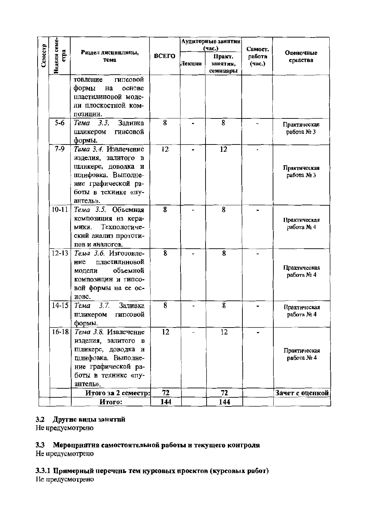|         |                      |                                                                                                                                                   |           |        | Аудиторные занятия<br>(час.)  | Самост.          |                            |
|---------|----------------------|---------------------------------------------------------------------------------------------------------------------------------------------------|-----------|--------|-------------------------------|------------------|----------------------------|
| Семестр | Неделя семе-<br>crpa | Раздел дисциплины,<br>тема                                                                                                                        | ВСЕГО     | Лекции | Практ.<br>янятия,<br>семинары | работа<br>(час.) | Оценочные<br>средства      |
|         |                      | гипсовой<br>товление<br>формы<br>на<br>основе<br>пластилиновой моде-<br>ли плоскостной ком-<br>позиции.                                           |           |        |                               |                  |                            |
|         | $5 - 6$              | Тема 3.3.<br>Заливка<br>гинсовой<br>шликером<br>формы.                                                                                            | 8         |        | 8                             |                  | Практическая<br>работа № 3 |
|         | $7 - 9$              | Тема 3.4. Извлечение<br>изделия, залитого в<br>шликере, доводка и<br>шлифовка. Выполне-<br>ние графической ра-<br>боты в техиике «пу-<br>антель». | 12        |        | 12                            |                  | Практическая<br>работа № 3 |
|         | $10 - 11$            | Тема 3.5. Объемная<br>композиция нз кера-<br>Техпологиче-<br>мики.<br>ский анализ прототи-<br>пов и аналогов.                                     | 8         |        | 8                             |                  | Практическая<br>работа № 4 |
|         | $12 - 13$            | Тема 3.6. Изготовле-<br>пластилнновой<br>ние<br>объемной<br>модели<br>композицин и гипсо-<br>вой формы на ее ос-<br>нове.                         | 8         |        | 8                             |                  | Практическая<br>работа № 4 |
|         | $14 - 15$            | 3.7.<br>Заливка<br>Тема<br>гипсовой<br>шликером<br>формы.                                                                                         | 8         |        | 8                             |                  | Практическая<br>работа № 4 |
|         | $16 - 18$            | Тема 3.8. Извлечение<br>изделия, залитого в<br>шликере, доводка и<br>шлифовка. Выполне-<br>ние графической ра-<br>боты в технике «пу-<br>антель». | 12        |        | $\overline{12}$               |                  | Практическая<br>работа № 4 |
|         |                      | Итого за 2 семестр:<br>Итого:                                                                                                                     | 72<br>144 |        | 72<br>144                     |                  | Зачет с оценкой            |
|         |                      |                                                                                                                                                   |           |        |                               |                  |                            |

# 3.2 Другие виды занятий

Не нредусмотрено

# 3.3 Мероприятия самостоятельной работы и текущего контроля

Не предусмотрено

## 3.3.1 Примериый перечень тем курсовых проектов (курсовых работ) Не предусмотрено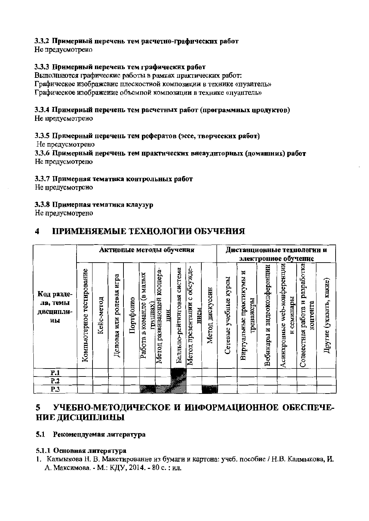# 3.3.2 Примерный перечень тем расчетно-графических работ

Не предусмотрено

## 3.3.3 Примерный перечень тем графических работ

Выполняются графические работы в рамках практических работ: Графическое изображение плоскостной композиции в технике «пуантель» Графическое изображение объемпой композиции в технике «пуантель»

# 3.3.4 Примерный перечень тем расчетных работ (программных продуктов)

Не предусмотрено

## 3.3.5 Примерный перечень тем рефератов (эссе, творческих работ)

Не предусмотрено

3.3.6 Примерный перечень тем практических внеаудиторных (домашних) работ Не предусмотрепо

#### 3.3.7 Примерная тематика контрольных работ

Не предусмотрено

### 3.3.8 Примерная тематика клаузур

Не предусмотрено

#### $\boldsymbol{4}$ ПРИМЕНЯЕМЫЕ ТЕХНОЛОГИИ ОБУЧЕНИЯ

|                                           | Активные методы обучения     |            |                                   |           |                                                 |                                         |                             | Дистанционные технологии и<br>электронное обучение |                    |                       |                                             |                             |                                                 |                                                  |                         |
|-------------------------------------------|------------------------------|------------|-----------------------------------|-----------|-------------------------------------------------|-----------------------------------------|-----------------------------|----------------------------------------------------|--------------------|-----------------------|---------------------------------------------|-----------------------------|-------------------------------------------------|--------------------------------------------------|-------------------------|
| Код разде-<br>ла, темы<br>дисципли-<br>ны | тестирование<br>Компьютерное | Кейс-метод | игра<br>ролевая<br>ИЛИ<br>Деловая | Портфолио | малых<br>e<br>команде<br>группах<br>m<br>Работа | коопера-<br>развивающей<br>ции<br>Meron | Балльпо-рейтниговая система | обсужде<br>ပ<br>презентации<br>нием<br>Meron       | дискуссин<br>Meron | Сетевые учебные курсы | Ħ<br>практикумы<br>гренажеры<br>Виртуальные | Вебинары и видеокопференции | web-конференции<br>семинары<br>Асинхронные<br>Ξ | разработка<br>H<br>контента<br>Совместная работа | Другие (указать, какие) |
| P.1                                       |                              |            |                                   |           |                                                 |                                         |                             |                                                    |                    |                       |                                             |                             |                                                 |                                                  |                         |
| P.2                                       |                              |            |                                   |           |                                                 |                                         |                             |                                                    |                    |                       |                                             |                             |                                                 |                                                  |                         |
| P.3                                       |                              |            |                                   |           |                                                 |                                         |                             |                                                    | e<br>Ikwaliotekia  |                       |                                             |                             |                                                 |                                                  |                         |

#### 5 УЧЕБНО-МЕТОДИЧЕСКОЕ И ИНФОРМАЦИОННОЕ ОБЕСПЕЧЕ-НИЕ ДИСЦИПЛИНЫ

### 5.1 Рекомендуемая литература

#### 5.1.1 Основная литература

1. Калмыкова Н. В. Макетирование из бумаги и картона: учеб. пособие / Н.В. Калмыкова, И. А. Максимова. - М.: КДУ, 2014. - 80 с. : ил.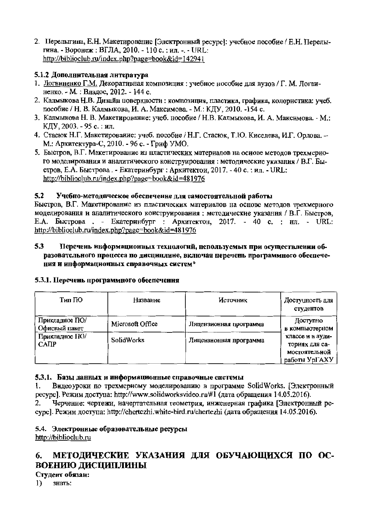2. Перелыгина, Е.Н. Макетирование [Электронный ресурс]: учебное пособие / Е.Н. Перелыгина. - Воронеж: ВГЛА, 2010. - 110 с.: ил. -. - URL: http://biblioclub.ru/index.php?page=book&id=142941

# 5.1.2 Лополнительная литература

- 1. Логвиненко Г.М. Декоративная композиция : учебное нособие для вузов / Г. М. Логвиненко. - М. : Владос, 2012. - 144 с.
- 2. Калмыкова Н.В. Дизайн поверхности: композиция, пластика, графика, колористика: учеб. пособие / Н. В. Калмыкова, И. А. Максимова. - М.: КДУ, 2010. -154 с.
- 3. Калмыкова Н. В. Макетирование: учеб. нособие / Н.В. Калмыкова, И. А. Максимова. М.: КДУ, 2003. - 95 с. : ил.
- 4. Стасюк Н.Г. Макетирование: учеб. пособие / Н.Г. Стасюк, Т.Ю. Киселева, И.Г. Орлова. -М.: Архитектура-С, 2010. - 96 с. - Гриф УМО.
- 5. Быстров, В.Г. Макетирование из пластических материалов на основе методов трехмерного моделирования и аналитического конструирования: методические указания / В.Г. Быстров, Е.А. Быстрова. - Екатеринбург : Архитектои, 2017. - 40 с. : ил. - URL: http://biblioclub.ru/index.php?page=book&id=481976

#### $5.2$ Учебно-методическое обеспечение для самостоятельной работы

Быстров, В.Г. Макетирование из пластических материалов на основе методов трехмерного моделирования и аналитического конструирования: методические указания / В.Г. Быстров. Е.А. Быстрова. - Екатеринбург : Архитектон, 2017. - 40 с. : нл. - URL: http://biblioclub.ru/index.php?page=book&id=481976

#### 5.3 Перечень информационных технологий, используемых при осуществлении образовательного процесса по дисциплине, включая неречень программного обеспечения и информационных справочных систем\*

|  |  | 5.3.1. Перечень программного обеспечення |  |
|--|--|------------------------------------------|--|
|--|--|------------------------------------------|--|

| Тип ПО                          | Название          | Источник               | Достуцность для<br>студентов                                         |
|---------------------------------|-------------------|------------------------|----------------------------------------------------------------------|
| Прикладное ПО/<br>Офисный пакет | Microsoft Office  | Лицензионная программа | Доступно<br>в компьютерном                                           |
| Прикладное ПО/<br>$CA$ $IP$     | <b>SolidWorks</b> | Лицензионная программа | классе и в ауди-<br>ториях для са-<br>мостоятельной<br>работы УрГАХУ |

## 5.3.1. Базы данных и информационные справочные системы

Видеоуроки по трехмериому моделированию в программе SolidWorks. [Электронный 1. ресурс]. Режим доступа: http://www.solidworksvideo.ru/#1 (дата обращения 14.05.2016).

Черченне: чертежи, иачертательная геометрия, инженерная графика [Электронный ре-2. cypc]. Режим доступа: http://chertezhi.white-bird.ru/chertezhi (дата обращения 14.05.2016).

#### 5.4. Электронные образовательные ресурсы http://biblioclub.ru

#### МЕТОДИЧЕСКИЕ УКАЗАНИЯ ДЛЯ ОБУЧАЮЩИХСЯ ПО ОС-6. ВОЕНИЮ ДИСЦИПЛИНЫ

# Студент обязан:

 $\bf{1}$ знать: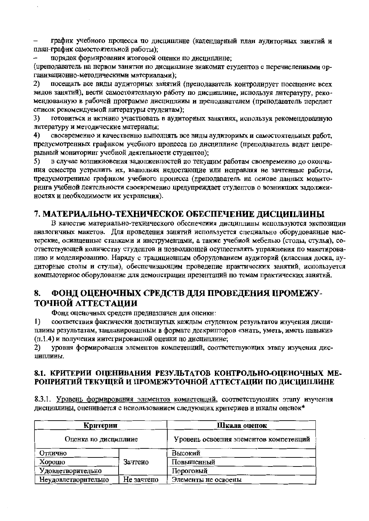график учебного процесса по дисциплине (календарный план аудиторных занятий и план-график самостоятельной работы);

порядок формирования итоговой оценки по дисциплине:

(преподаватель на первом занятии по дисциплине знакомит студентов с перечисленными организационно-методическими материалами):

посещать все виды аудиторных занятий (преподаватель контролирует посещение всех  $2)$ видов занятий), вести самостоятельную работу по дисциплине, используя литературу, рекомендованную в рабочей программе дисциплины и преподавателем (преподаватель передает список рекомендуемой литературы студентам);

3) готовиться и активно участвовать в аудиторных занятиях, используя рекомендованную литературу и методические материалы:

 $4)$ своевременно и качественно выполнять все виды аудиториых и самостоятельных работ. предусмотренных графнком учебного процесса по дисциплине (преподаватель ведет непрерывный мониторинг учебной деятельности студентов);

в случае возпикновения задолженностей по текущим работам своевременно до оконча-5) ния семестра устранить их, выполняя недостающие или исправляя не зачтенные работы, предусмотрениые графиком учебного процесса (преподаватель на основе данных мониторинга учебной деятельности своевременио предупреждает студентов о возникших задолжеиностях и пеобходимости их устранения).

# 7. МАТЕРИАЛЬНО-ТЕХНИЧЕСКОЕ ОБЕСПЕЧЕНИЕ ДИСЦИПЛИНЫ

В качестве материально-технического обеспечения дисциплины используются экспозиции аналогичных макетов. Для проведения занятий используется специально оборудованные мастерские, осиащенные станками и инструментами, а также учебной мебелью (столы, стулья), соответствующей количеству студептов и позволяющей осуществлять упражнения по макетированию и моделированию. Наряду с традиционным оборудованием аудиторий (классная доска, аудиторные столы и стулья), обеспечивающим проведение нрактических занятий, используется компьютерное оборудование для демопстрации презентаций по темам практических занятий.

#### ФОНД ОЦЕНОЧНЫХ СРЕДСТВ ДЛЯ ПРОВЕДЕНИЯ ПРОМЕЖУ-8. ТОЧНОЙ АТТЕСТАЦИИ

Фонд оценочных средств предназначен для оцеикн:

соответствия фактически достигнутых каждым студентом результатов изучения дисци- $\bf{1}$ плины результатам, занланированным в формате дескрипторов «знать, уметь, иметь павыки» (п.1.4) и получения интегрированной оценки по дисциплине;

 $2)$ уровня формировання элементов компетенций, соответствующих этапу изучения дисциплины.

### 8.1. КРИТЕРИИ ОЦЕНИВАНИЯ РЕЗУЛЬТАТОВ КОНТРОЛЬНО-ОЦЕНОЧНЫХ МЕ-РОПРИЯТИЙ ТЕКУЩЕЙ И ПРОМЕЖУТОЧНОЙ АТТЕСТАЦИИ ПО ДИСЦИПЛИНЕ

8.3.1. Уровень формирования элементов компетенций, соответствующих этапу изучення дисциплины, оценивается с использованием следующих критериев и шкалы оценок\*

| Критерии                          |         | Шкала оценок                           |
|-----------------------------------|---------|----------------------------------------|
| Оценка по дисциплине              |         | Уровень освоения элементов компетенций |
| Отлично                           |         | Высокий                                |
| Хорошо                            | Зачтено | Повышенный                             |
| Удовлетворительно                 |         | Пороговый                              |
| Неудовлетворительно<br>Не зачтепо |         | Элементы не освоены                    |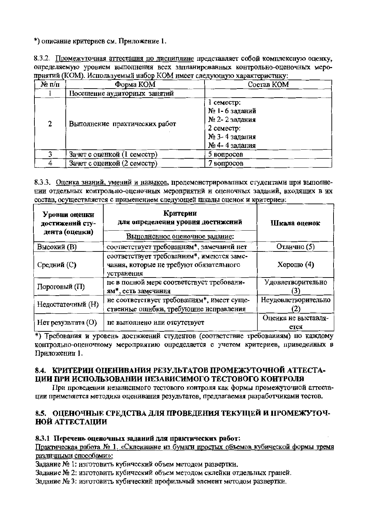\*) описание критериев см. Приложение 1.

8.3.2. Промежуточная аттестация по дисциплине представляет собой комплексную оценку, определяемую уровнем выполнения всех запланированных контрольно-оценочных мероприятий (КОМ). Используемый набор КОМ имеет следующую характеристику:

| $\mathcal{N}_2$ π/π | Форма КОМ                     | Состав КОМ                                                                                        |
|---------------------|-------------------------------|---------------------------------------------------------------------------------------------------|
|                     | Посещение аудиторных занятий  |                                                                                                   |
| $\mathbf{2}$        | Выполнение практических работ | $1$ семестр:<br>№ 1- 6 заданий<br>№ 2-2 задания<br>$2$ семестр:<br>№ 3-4 задания<br>№ 4-4 задания |
| ર                   | Зачет с оценкой (1 семестр)   | 5 вопросов                                                                                        |
|                     | Зачет с оценкой (2 семестр)   | 7 вопросов                                                                                        |

8.3.3. Оценка знаний, умений и навыков, продемонстрировалных студентами при выполнении отдельных контрольно-оценочных мероприятний и оценочных заданий, входящих в их состав, осуществляется с применением следующей шкалы оценок и критериев:

| Уровни оценки<br>достижений сту-<br>дента (оценки) | Критерии<br>для определения уровня достижений<br>Выполненное оценочное задание:                    | Шкала оценок                |
|----------------------------------------------------|----------------------------------------------------------------------------------------------------|-----------------------------|
| <b>Высокий</b> (B)                                 | соответствует требованиям*, замечаний нет                                                          | Отлично (5)                 |
| Средний (С)                                        | соответствует требованиям*, имеются заме-<br>чания, которые не требуют обязательного<br>устранения | Хорошо $(4)$                |
| Пороговый (П)                                      | пе в полной мере соответствует требовани-<br>ям*, есть замечания                                   | Удовлетворительно           |
| Недостаточный (H)                                  | не соответствует требованиям*, имеет суще-<br>ственные ошибки, требующие исправления               | Неудовлетворительно         |
| $Her$ результата $(O)$                             | пе выполнено или отсутствует                                                                       | Оценка не выставля-<br>ется |

\*) Требования и уровень достижений студентов (соответствие требованиям) по каждому контрольно-оценочному мероприятию определяется с учетом критериев, приведенных в Приложении 1.

# 8.4. КРИТЕРИИ ОЦЕНИВАНИЯ РЕЗУЛЬТАТОВ ПРОМЕЖУТОЧНОЙ АТТЕСТА-ЦИИ ПРИ ИСПОЛЬЗОВАНИИ НЕЗАВИСИМОГО ТЕСТОВОГО КОНТРОЛЯ

При проведении независнмого тестового контроля как формы промежуточной аттестации применяется методика оценивания результатов, предлагаемая разработчиками тестов.

# 8.5. ОЦЕНОЧНЫЕ СРЕДСТВА ДЛЯ ПРОВЕДЕНИЯ ТЕКУЩЕЙ И ПРОМЕЖУТОЧ-НОЙ АТТЕСТАЦИИ

# 8.3.1 Перечень оценочных заданий для практических работ:

Практическая работа № 1. «Склеивание из бумаги простых объемов кубической формы тремя различными способами»:

Задание № 1: изготовить кубический объем методом развертки.

Задание № 2: изготовить кубический объем методом склейки отдельных граней.

Задание № 3: изготовить кубический нрофильный элемент методом развертки.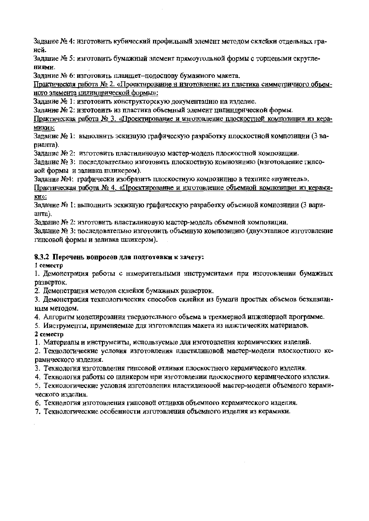Задание № 4: изготовить кубический профильный элемент методом склейки отдельных граней.

Задание № 5: изготовить бумажный элемент прямоугольной формы с торцевыми скруглениями.

Задание № 6: изготовить планшет-подоспову бумажиого макета.

Практическая работа № 2. «Проектирование и изготовление из пластика симметричного объемиого элемента цилиндрической формы»:

Задание № 1: изготовить конструкторскую документацию на изделие.

Задание № 2: изготовить из пластика объемный элемеит цилиндрической формы.

Практическая работа № 3. «Проектирование и изготовление плоскостной композиции из керамики»:

Задание № 1: выполнить эскизную графическую разработку плоскостной композиции (3 варианта).

Залание № 2: изготовить пластилиновую мастер-модель плоскостной композиции.

Задание № 3: последовательно изготовить плоскостную комнозицию (нзготовление гипсовой формы и заливка шликером).

Залание №4: графически изобразить плоскостную композицию в технике «пуантель».

Практическая работа № 4. «Проектирование и изготовление объемной композиции из керами-KH»:

Залание № 1: выполнить эскизную графическую разработку объемной композиции (3 варианта).

Задание № 2: изготовить нластилиновую мастер-модель объемной композиции.

Задание № 3: последовательно изготовить объемную композицию (двухэтапное изготовление гипсовой формы и заливка шликером).

## 8.3.2 Перечень вопросов для подготовки к зачету:

1 семестр

1. Демонстрация работы с нзмерительными инструментами при изготовлении бумажных разверток.

2. Демопстрация методов склейки бумажных разверток.

3. Демонстрация техпологических способов склейки из бумаги простых объемов безклапанным методом.

4. Алгоритм моделирования твердотельного объема в трехмерной ипженериой программе.

5. Ииструменты, применяемые для изготовления макета из нластических материалов.

## 2 семестр

1. Материалы и инструмеиты, используемые для изготовления керамических изделий.

2. Технологические условия изготовления пластилиновой мастер-модели плоскостного керамического изделия.

3. Технология изготовления гипсовой отливки плоскостного керамического изделия.

4. Технология работы со шликером при изготовлении плоскостного керамического изделия.

5. Технологические условия изготовления нластилиновой мастер-модели объемного керамического изделия.

6. Технология изготовления гипсовой отливки объемного керамического изделия.

7. Технологические особенности изготовления объемного изделия из керамики.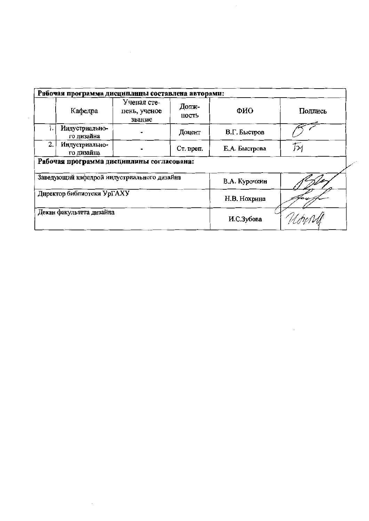| Рабочая программа дисциплины составлена авторами: |                              |                                       |                |               |         |  |  |  |  |  |
|---------------------------------------------------|------------------------------|---------------------------------------|----------------|---------------|---------|--|--|--|--|--|
|                                                   | Кафедра                      | Ученая сте-<br>пень, ученое<br>звание | Долж-<br>ность | ФИО           | Подпись |  |  |  |  |  |
| ł.                                                | Индустриально-<br>го дизайна |                                       | Доцент         | В.Г. Быстров  |         |  |  |  |  |  |
| 2.                                                | Индустриально-<br>го дизайна |                                       | Ст. преп.      | Е.А. Быстрова | Тм      |  |  |  |  |  |
| Рабочая программа дисциплины согласована:         |                              |                                       |                |               |         |  |  |  |  |  |
| Заведующий кафедрой индустриального дизайна       |                              |                                       |                | В.А. Курочкин |         |  |  |  |  |  |
| Директор библиотеки УрГАХУ                        |                              |                                       |                | Н.В. Нохрина  |         |  |  |  |  |  |
| Декан факультета дизайна                          |                              |                                       |                | И.С.Зубова    |         |  |  |  |  |  |

 $\label{eq:2.1} \frac{1}{\sqrt{2}}\left(\frac{1}{\sqrt{2}}\right)^{2} \left(\frac{1}{\sqrt{2}}\right)^{2} \left(\frac{1}{\sqrt{2}}\right)^{2} \left(\frac{1}{\sqrt{2}}\right)^{2} \left(\frac{1}{\sqrt{2}}\right)^{2} \left(\frac{1}{\sqrt{2}}\right)^{2} \left(\frac{1}{\sqrt{2}}\right)^{2} \left(\frac{1}{\sqrt{2}}\right)^{2} \left(\frac{1}{\sqrt{2}}\right)^{2} \left(\frac{1}{\sqrt{2}}\right)^{2} \left(\frac{1}{\sqrt{2}}\right)^{2} \left(\$ 

 $\hat{\boldsymbol{\beta}}$ 

 $\mathcal{L}$ 

 $\mathcal{L}^{\text{max}}_{\text{max}}$